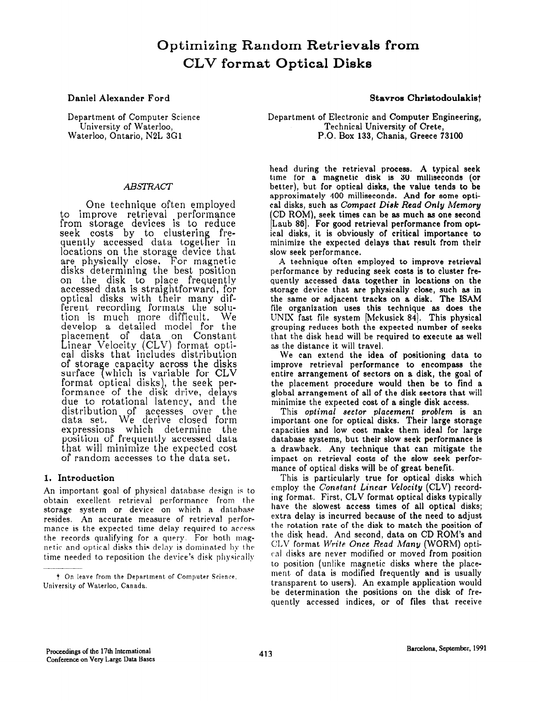# Optimizing Random Retrievals from CLV format Optical Disks

Department of Computer Science University of Waterloo, Waterloo, Ontario, N2L 3Gl

# ABSTRACT

One technique often employed to improve retrieval performanc from storage devices is to reduce seek costs by to clusterin quently accessed data together in locations on the storage device that are physically close. For magnetic disks determining the best position on the disk to place frequentl accessed data is straightforward, for optical disks with their many dif ferent recording formats the solution is much more difficult. We develop a detailed model for the  $_{\rm Li}$ lacement of data on Constan inear Velocity (CLV) format optical disks that includes distributic of storage capacity across the disks surface (which is variable for CLV<br>format optical disks), the seek performance of the disk drive, delays due to rotational latency, and the distribution of accesses over We derive closed form expressions which determine the position of frequently accessed data that will minimize the expected cost of random accesses to the data set.

# 1. Introduction

An important goal of physical database design is to obtain excellent, retrieval performance from the storage system or device on which a database resides. An accurate measure of retrieval performance is the expected time delay required to access the records qualifying for a query. For both magnetic and optical disks this delay is dominated by the time needed to reposition the device's disk physically

Daniel Alexander Ford Stavros Christodoulakist

Department of Electronic and Computer Engineering, Technical University of Crete, P.O. Box 133, Chania, Greece 73100

head during the retrieval process. A typical seek time for a magnetic disk is 30 milliseconds (or better), but for optical disks, the value tends to be approximately 400 milliseconds. And for some optical disks, such as Compact Disk Read Only Memory [Laub 86]. For good retrieval performance from opt-CD ROM), seek times can be as much as one second ical disks, it is obviously of critical importance to minimize the expected delays that result from their slow seek performance.

A technique often employed to improve retrieval performance by reducing seek costs is to cluster frequently accessed data together in locations on the storage device that are physically close, such as in the same or adjacent tracks on a disk. The ISAM file organization uses this technique as does the UNIX fast file system  $[Mckusick 84]$ . This physical grouping reduces both the expected number of seeks that the disk head will be required to execute as well as the distance it will travel.

We can extend the idea of positioning data to improve retrieval performance to encompass the entire arrangement of sectors on a disk, the goal of the placement procedure would then be to find a global arrangement of all of the disk sectors that will minimize the expected cost of a single disk access.

This optimal sector placement problem is an important one for optical disks. Their large storage capacities and low cost make them ideal for large database systems, but their slow seek performance is a drawback. Any technique that can mitigate the impact on retrieval costs of the slow seek performance of optical disks will be of great benefit.

This is particularly true for optical disks which employ the Constant Linear Velocity (CLV) recording format. First, CLV format optical disks typically have the slowest access times of all optical disks; extra delay is incurred because of the need to adjust the rotation rate of the disk to match the position of the disk head. And second, data on CD ROM's and  $CLV$  format *Write Once Read Many* (WORM) optical disks are never modified or moved from position to position (unlike magnetic disks where the placement of data is modified frequently and is usually transparent to users). An example application would be determination the positions on the disk of frequently accessed indices, or of files that receive

<sup>&</sup>lt;sup>†</sup> On leave from the Department of Computer Science, University of Waterloo, Canada.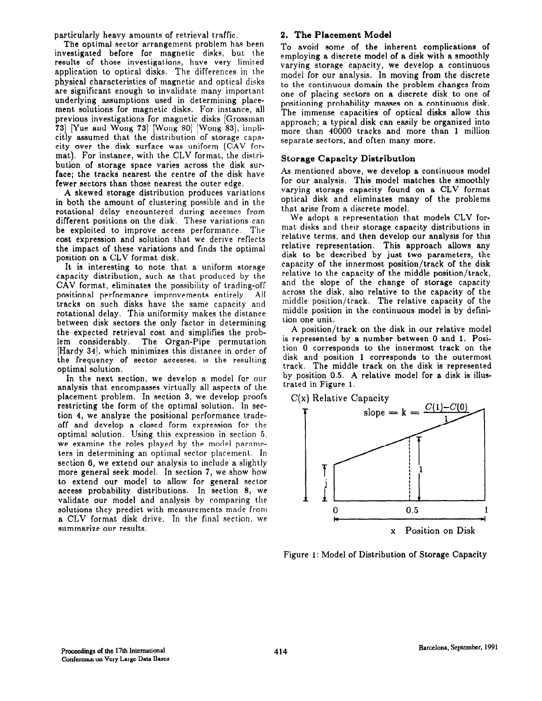particularly heavy amounts of retrieval traffic.

The optimal sector arrangement problem has been investigated before for magnetic disks, but the results of those investigations, have very limited application to optical disks. The differences in the physical characteristics of magnetic and optical disks are significant enough to invalidate many important underlying assumptions used in determining placement solutions for magnetic disks. For instance, all previous investigations for magnetic disks (Grossman 73. Yue and Wong 73. Wong 80. [Wong 83.], implicitly assumed that the distribution of storage capacity over the disk surface was uniform (CAV format). For instance, with the CLV format, the distribution of storage space varies across the disk surface; the tracks nearest the centre of the disk have fewer sectors than those nearest the outer edge.

A skewed storage distribution produces variations in both the amount of clustering possible and in the rotational delay encountered during accesses from different positions on the disk. These variations can be exploited to improve access performance. The cost expression and solution that we derive reflects the impact of these variations and finds the optimal position on a CLV format disk.

It is interesting to note that a uniform storage capacity distribution, such as that produced by the CAV format, eliminates the possibility of trading-off positional performance improvements entirely. All tracks on such disks have the same capacity and rotational delay. This uniformity makes the distance between disk sectors the only factor in determining the expected retrieval cost and simplifies the problem considerably. The Organ-Pipe permutation [Hardy 34], which minimizes this distance in order of the frequency of sector accesses. is the resulting optimal solution,

In the next section, we develop a model for our analysis that encompasses virtually all aspects of the placement problem. In section 3, we develop proofs restricting the form of the optimal solution. In section 4, we analyze the positional performance tradeoff and develop a closed form expression for the optimal solution. Using this expression in section 5, we examine the roles played by the model parameters in determining an optimal sector placement. In section 6, we extend our analysis to include a slightly more general seek model. In section 7, we show how to extend our model to allow for general sector access probability distributions. In section 8, we validate our model and analysis by comparing the solutions they predict with measurements made from a CLV format disk drive. In the final section, we summarize our results.

# 2. The Placement Model

To avoid some of the inherent complications of employing a discrete model of a disk with a smoothly varying storage capacity, we develop a continuous model for our analysis. In moving from the discrete to the continuous domain the problem changes from one of placing sectors on a discrete disk to one of positioning probability masses on a continuous disk. The immense capacities of optical disks allow this approach; a typical disk can easily be organized into more than 40000 tracks and more than 1 million separate sectors, and often many more.

# Storage Capacity Distribution

As mentioned above, we develop a continuous model for our analysis. This model matches the smoothly varying storage capacity found on a CLV format optical disk and eliminates many of the problems that arise from a discrete model.

We adopt a representation that models CLV format disks and their storage capacity distributions in relative terms, and then develop our analysis for this relative representation. This approach allows any disk to be described by just two parameters, the capacity of the innermost position/track of the disk relative to the capacity of the middle position/track, and the slope of the change of storage capacity across the disk, also relative to the capacity of the middle- position/track. The relative capacity of the middle position in the continuous model is by definition one unit.

A position/track on the disk in our relative model is represented by a number between 0 and 1. Position 0 corresponds to the innermost track on the disk and position 1 corresponds to the outermost track. The middle track on the disk is represented by position 0.5. A relative model for a disk is illustrated in Figure 1.



Figure 1: Model of Distribution of Storage Capacity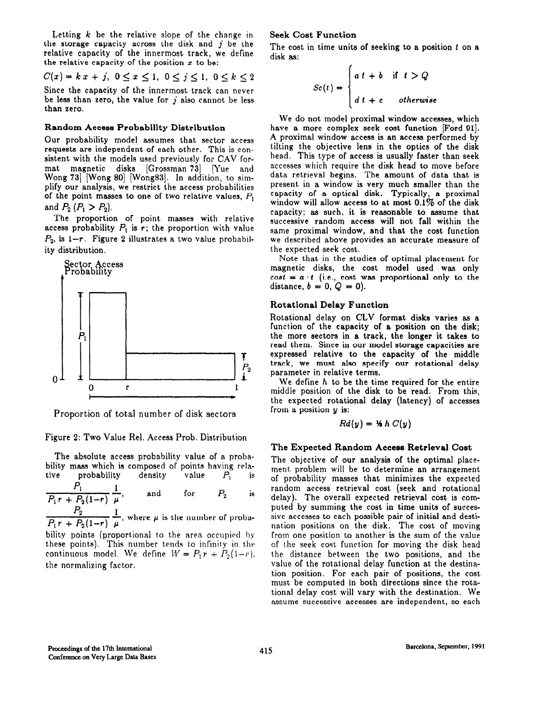Letting  $k$  be the relative slope of the change in the storage capacity across the disk and  $j$  be the relative capacity of the innermost track, we define the relative capacity of the position  $x$  to be:

$$
C(x) = k x + j, \ 0 \le x \le 1, \ 0 \le j \le 1, \ 0 \le k \le 2
$$

Since the capacity of the innermost track can never be less than zero, the value for  $j$  also cannot be less than zero.

#### Random Accese Probability Distribution

Our probability model assumes that sector access requests are independent of each other. This is consistent with the models used previously for CAV format magnetic disks [Grossman 73] [Yue and Wong 73] [Wong 80] [Wong83]. In addition, to simplify our analysis, we restrict the access probabilities of the point masses to one of two relative values,  $P_1$ and  $P_2$   $(P_1 > P_2)$ .

The proportion of point masses with relative access probability  $P_1$  is r; the proportion with value  $P_2$ , is  $1-r$ . Figure 2 illustrates a two value probability distribution,



Proportion of total number of disk sectors

Figure 2: Two Value Rel. Access Prob. Distribution

The absolute access probability value of a probability mass which is composed of points having rela-<br>tive probability density value  $P_1$  is

 $\frac{P_1}{P_1 r + P_2(1-r)} \frac{1}{\mu}$ , and for  $P_2$  is

 $\frac{P_2}{P_1r + P_2(1-r)} \frac{1}{\mu}$ , where  $\mu$  is the number of proba-

bility points (proportional to the area occupied by these points). This number tends to infinity in the continuous model. We define  $W = P_1 r + P_2(1-r)$ . the normalizing factor.

#### Seek Cost Function

The cost in time units of seeking to a position  $t$  on a disk as:

$$
Sc(t) = \begin{cases} a t + b & \text{if } t > Q \\ d t + c & otherwise \end{cases}
$$

We do not model proximal window accesses, which have a more complex seek cost function [Ford 91]. A proximal window access is an access performed by tilting the objective lens in the optics of the disk head. This type of access is usually faster than seek accesses which require the disk head to move before data retrieval begins. The amount of data that is present in a window is very much smaller than the capacity of a optical disk. Typically, a proximal window will allow access to at most  $0.1\%$  of the disk capacity; as such, it is reasonable to assume that successive random access will not fall within the same proximal window, and that the cost function we described above provides an accurate measure of the expected seek cost.

Note that in the studies of optimal placement for magnetic disks, the cost model used was only  $cost = a \cdot t$  (i.e., cost was proportional only to the distance,  $b = 0$ ,  $Q = 0$ ).

### Rotational Delay Function

Rotational delay on CLV format disks varies as a function of the capacity of a position on the disk; the more sectors in a track, the longer it takes to read them. Since in our model storage capacities are expressed relative to the capacity of the middle track, we must also specify our rotational delay parameter in relative terms.

We define  $h$  to be the time required for the entire middle position of the disk to be read. From this, the expected rotational delay (latency) of accesses from a position y is:

$$
Rd(y) = \mathcal{H} h C(y)
$$

### The Expected Random Access Retrieval Cost

The objective of our analysis of the optimal placement problem will be to determine an arrangement of probability masses that minimizes the expected random access retrieval cost (seek and rotational delay). The overall expected retrieval cost is computed by summing the cost in time units of successive accesses to each possible pair of initial and destination positions on the disk. The cost of moving from one position to another is the sum of the value of the seek cost function for moving the disk head the distance between the two positions, and the value of the rotational delay function at the destination position. For each pair of positions, the cost must be computed in both directions since the rotational delay cost will vary with the destination. We assume successive accesses are independent, so each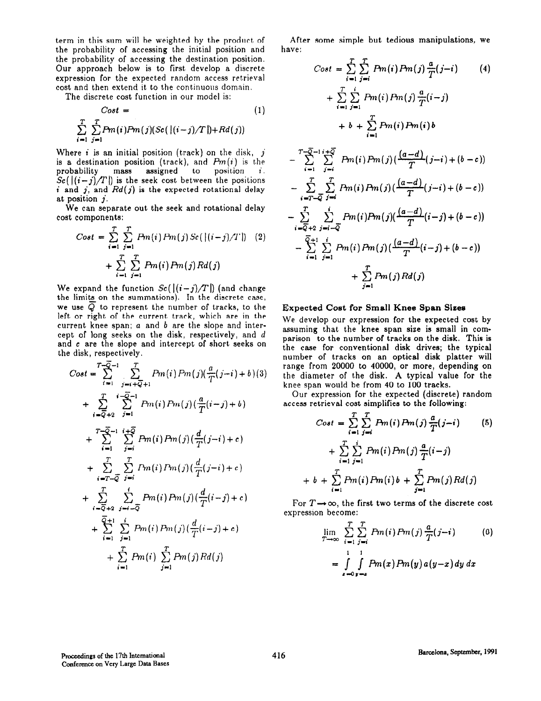term in this sum will be weighted by the product of the probability of accessing the initial position and the probability of accessing the destination position. Our approach below is to first develop a discrete expression for the expected random access retrieval cost and then extend it to the continuous domain.

The discrete cost function in our model is:

$$
Cost = \n\sum_{i=1}^{T} \sum_{j=1}^{T} Pm(i) Pm(j) (Sc(\vert (i-j)/T \vert) + Rd(j))
$$
\n(1)

Where *i* is an initial position (track) on the disk,  $j$ is a destination position (track), and  $Pm(i)$  is the probability mass assigned to position  $i$ .  $Sc([(i-j)/T])$  is the seek cost between the positions i and j, and  $Rd(j)$  is the expected rotational delay at position j.

We can separate out the seek and rotational delay cost components:

$$
Cost = \sum_{i=1}^{T} \sum_{j=1}^{T} Pm(i) Pm(j) Sc(\vert (i-j)/T \vert) \quad (2)
$$

$$
+ \sum_{i=1}^{T} \sum_{j=1}^{T} Pm(i) Pm(j) Rd(j)
$$

We expand the function  $Sc([(i-j)/T])$  (and change the limits on the summations). In the discrete case, we use  $\overline{Q}$  to represent the number of tracks, to the left or right of the current track, which are in the current knee span;  $a$  and  $b$  are the slope and intercept of long seeks on the disk, respectively, and d and c are the slope and intercept of short seeks on the disk, respectively.

$$
Cost = \sum_{i=1}^{T-\overline{Q}-1} \sum_{j=i+\overline{Q}+1}^{T} Pm(i) Pm(j) (\frac{a}{T}(j-i) + b)(3)
$$
  
+ 
$$
\sum_{i=\overline{Q}+2}^{T} \sum_{j=1}^{i-\overline{Q}-1} Pm(i) Pm(j) (\frac{a}{T}(i-j) + b)
$$
  
+ 
$$
\sum_{i=1}^{T-\overline{Q}-1} \sum_{j=i}^{i+\overline{Q}} Pm(i) Pm(j) (\frac{d}{T}(j-i) + c)
$$
  
+ 
$$
\sum_{i=T-\overline{Q}}^{T} \sum_{j=i}^{T} Pm(i) Pm(j) (\frac{d}{T}(j-i) + c)
$$
  
+ 
$$
\sum_{i=\overline{Q}+2}^{T} \sum_{j=i-\overline{Q}}^{i} Pm(i) Pm(j) (\frac{d}{T}(i-j) + c)
$$
  
+ 
$$
\sum_{i=1}^{T} \sum_{j=1}^{i} Pm(i) Pm(j) (\frac{d}{T}(i-j) + c)
$$
  
+ 
$$
\sum_{i=1}^{T} Pm(i) \sum_{j=1}^{T} Pm(j) Rd(j)
$$

After some simple but tedious manipulations, we have:

$$
Cost = \sum_{i=1}^{T} \sum_{j=i}^{T} Pm(i) Pm(j) \frac{a}{T}(j-i)
$$
(4)  
+ 
$$
\sum_{i=1}^{T} \sum_{j=i}^{i} Pm(i) Pm(j) \frac{a}{T}(i-j)
$$
  
+ 
$$
b + \sum_{i=1}^{T} Pm(i) Pm(i) b
$$
  
- 
$$
\sum_{i=1}^{T-\overline{Q}-1} \sum_{j=i}^{i+\overline{Q}} Pm(i) Pm(j) (\frac{(a-d)}{T}(j-i)+(b-c))
$$
  
- 
$$
\sum_{i=T-\overline{Q}}^{T} \sum_{j=i}^{T} Pm(i) Pm(j) (\frac{(a-d)}{T}(j-i)+(b-c))
$$
  
- 
$$
\sum_{i=\overline{Q}+2}^{T} \sum_{j=i-\overline{Q}}^{i} Pm(i) Pm(j) (\frac{(a-d)}{T}(i-j)+(b-c))
$$
  
- 
$$
\sum_{i=1}^{\overline{Q}+1} \sum_{j=1}^{i} Pm(i) Pm(j) (\frac{(a-d)}{T}(i-j)+(b-c))
$$
  
+ 
$$
\sum_{j=1}^{T} Pm(j) Rd(j)
$$

#### Expected Cost for Small Knee Span Siees

We develop our expression for the expected cost by assuming that the knee span size is small in comparison to the number of tracks on the disk. This is the case for conventional disk drives; the typical number of tracks on an optical disk platter will range from 20000 to 40000, or more, depending on the diameter of the disk. A typical value for the knee span would be from 40 to 100 tracks.

Our expression for the expected (discrete) random access retrieval cost simplifies to the following:

$$
Cost = \sum_{i=1}^{T} \sum_{j=i}^{T} Pm(i) Pm(j) \frac{a}{T}(j-i)
$$
(5)  
+ 
$$
\sum_{i=1}^{T} \sum_{j=1}^{i} Pm(i) Pm(j) \frac{a}{T}(i-j)
$$
  
+ 
$$
b + \sum_{i=1}^{T} Pm(i) Pm(i) b + \sum_{j=1}^{T} Pm(j) Rd(j)
$$

For  $T\rightarrow\infty$ , the first two terms of the discrete cost expression become:

$$
\lim_{T \to \infty} \sum_{i=1}^{T} \sum_{j=i}^{T} Pm(i) Pm(j) \frac{a}{T} (j-i)
$$
(6)  

$$
= \int_{x=0}^{1} \int_{y=x}^{1} Pm(x) Pm(y) a(y-x) dy dx
$$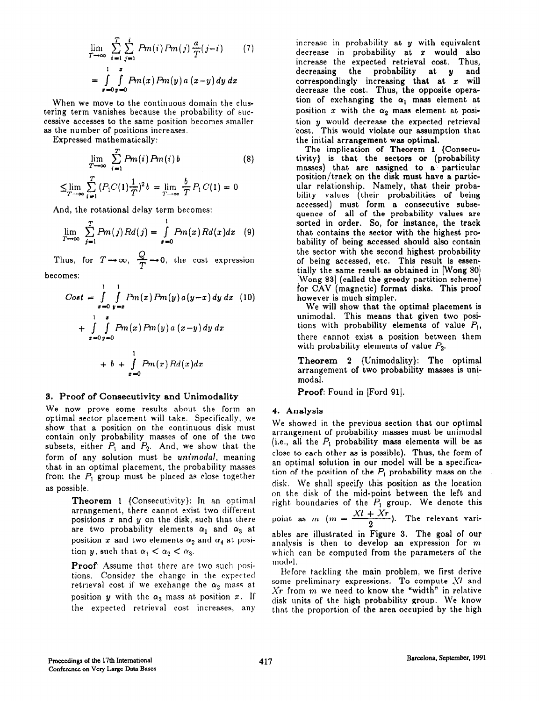$$
\lim_{T \to \infty} \sum_{i=1}^{T} \sum_{j=1}^{i} Pm(i) Pm(j) \frac{a}{T}(j-i)
$$
(7)  
= 
$$
\int_{x=0}^{1} \int_{y=0}^{x} Pm(x) Pm(y) a (x-y) dy dx
$$

When we move to the continuous domain the clustering term vanishes because the probability of successive accesses to the same position becomes smaller as the number of positions increases.

Expressed mathematically:

$$
\lim_{T \to \infty} \sum_{i=1}^{T} Pm(i) Pm(i) b
$$
(8)  

$$
\leq \lim_{T \to \infty} \sum_{i=1}^{T} (P_1 C(1) \frac{1}{T})^2 b = \lim_{T \to \infty} \frac{b}{T} P_1 C(1) = 0
$$

And, the rotational delay term becomes:

$$
\lim_{T\to\infty}\sum_{j=1}^T Pm(j)Rd(j)=\int_{x=0}^1 Pm(x)Rd(x)dx
$$
 (9)

Thus, for  $T \rightarrow \infty$ ,  $\frac{Q}{T} \rightarrow 0$ , the cost expression

becomes:

$$
Cost = \int_{x=0}^{1} \int_{y=x}^{1} Pm(x) Pm(y) a(y-x) dy dx
$$
 (10)  
+ 
$$
\int_{x=0}^{1} \int_{y=0}^{x} Pm(x) Pm(y) a (x-y) dy dx
$$
  
+ 
$$
\int_{x=0}^{1} Pm(x) Rd(x) dx
$$

#### 3. Proof of Conaecutivity and Unimodality

We now prove some results about the form an optimal sector placement will take. Specifically, we show that a position on the continuous disk must contain only probability masses of one of the two subsets, either  $P_1$  and  $P_2$ . And, we show that the form of any solution must be unimodal, meaning that in an optimal placement, the probability masses from the  $P_1$  group must be placed as close together as possible.

> Theorem 1  ${Consecutive}$ : In an optimal arrangement, there cannot exist two different positions  $x$  and  $y$  on the disk, such that there are two probability elements  $\alpha_1$  and  $\alpha_3$  at position x and two elements  $\alpha_2$  and  $\alpha_4$  at position y, such that  $\alpha_1 < \alpha_2 < \alpha_3$ .

> Proof: Assume that there are two such positions. Consider the change in the expected retrieval cost if we exchange the  $\alpha_2$  mass at position y with the  $\alpha_3$  mass at position x. If the expected retrieval cost increases, any

increase in probability at  $y$  with equivalent decrease in probability at  $x$  would also increase the expected retrieval cost. Thus, decreasing the probability at y and correspondingly increasing that at  $x$  will decrease the cost. Thus, the opposite operation of exchanging the  $\alpha_1$  mass element at position  $x$  with the  $\alpha_2$  mass element at position  $\boldsymbol{y}$  would decrease the expected retrieva \*cost.. This would violate our assumption that the initial arrangement was optimal.

The implication of Theorem 1 {Consecutivity} is that the sectors or (probabilit masses) that are assigned to a particula position/track on the disk must have a particular relationship. Namely, that their probability values (their probabilities of being accessed) must form a consecutive subsequence of all of the probability values are sorted in order. So, for instance, the track that contains the sector with the highest probability of being accessed should also contain the sector with the second highest probability of being accessed, etc. This result is essentially the same result as obtained in [Wong 80 [Wong 83] (called the greedy partition scheme) for CAV (magnetic) format disks. This proof however is much simpler.

We will show that the optimal placement is unimodal. This means that given two positions with probability elements of value  $P_1$ , there cannot exist a position between them with probability elements of value  $P_2$ .

Theorem 2 {Unimodality}: The optimal arrangement of two probability masses is unimodal.

Proof: Found in [Ford 91].

#### 4. Analysis

We showed in the previous section that our optimal arrangement of probability masses must be unimodal (i.e., all the  $P_1$  probability mass elements will be as close to each other as is possible). Thus, the form of an optimal solution in our model will be a specification of the position of the  $P_1$  probability mass on the disk. We shall specify this position as the location on the disk of the mid-point between the left and right boundaries of the  $P_1$  group. We denote this point as  $m$   $(m = \frac{Xl + Xr}{2})$ . The relevant variables are illustrated in Figure 3. The goal of our analysis is then to develop an expression for m which can be computed from the parameters of the model.

Before tackling the main problem, we first derive some preliminary expressions. To compute XI and  $Xr$  from  $m$  we need to know the "width" in relative disk units of the high probability group. We know that the proportion of the area occupied by the high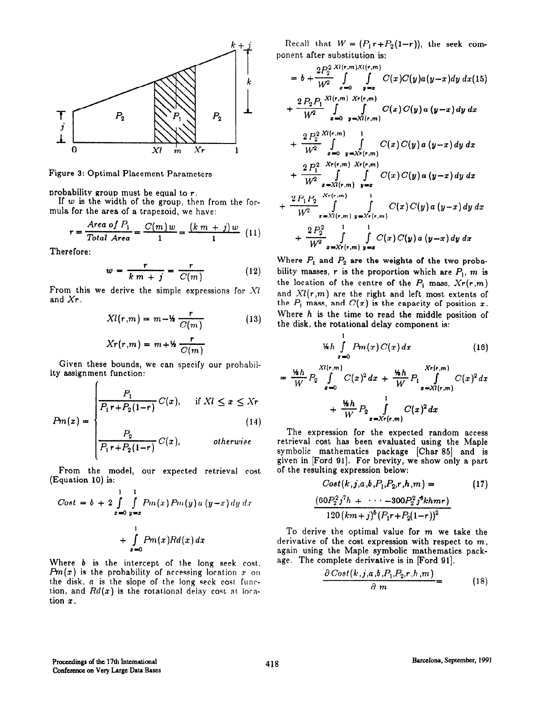

Figure 3: Optimal Placement Parameters

probability group must be equal to r.

If  $w$  is the width of the group, then from the formula for the area of a trapezoid, we have:

$$
r = \frac{\text{Area of } P_1}{\text{Total Area}} = \frac{C(m)w}{1} = \frac{(k m + j)w}{1} \quad (11)
$$

Therefore:

 $\sqrt{ }$ 

$$
w = \frac{r}{k m + j} = \frac{r}{C(m)} \tag{12}
$$

From this we derive the simple expressions for Xl and Xr.

$$
Xl(r,m) = m - \frac{r}{C(m)} \tag{13}
$$

$$
Xr(r,m) = m + k \frac{r}{C(m)}
$$

Given these bounds, we can specify our probability assignment function:

$$
P_m(x) = \begin{cases} \frac{P_1}{P_1 r + P_2(1-r)} C(x), & \text{if } XI \leq x \leq Xr\\ \frac{P_2}{P_1 r + P_2(1-r)} C(x), & \text{otherwise} \end{cases} \tag{14}
$$

From the model, our expected retrieval cost (Equation 10) is:

$$
Cost = b + 2 \int_{x=0}^{1} \int_{y=x}^{1} Pm(x) Pm(y) a (y-x) dy dx
$$

$$
+ \int_{x=0}^{1} Pm(x) Rd(x) dx
$$

Where  $b$  is the intercept of the long seek cost,  $Pm(x)$  is the probability of accessing location x on the disk,  $a$  is the slope of the long seek cost function, and  $Rd(x)$  is the rotational delay cost at location  $x$ .

Recall that  $W = (P_1r+P_2(1-r))$ , the seek component after substitution is:

$$
= b + \frac{2P_2^{2}}{W^2} \int_{x=0}^{X(t,m)X(t,m)} \int_{y=x}^{X(t,m)} C(x)C(y)a(y-x)dy dx (15)
$$
  
+ 
$$
\frac{2P_2P_1}{W^2} \int_{x=0}^{X(t,m)} \int_{y=X(t,m)}^{X(t,m)} C(x)C(y)a(y-x)dy dx
$$
  
+ 
$$
\frac{2P_2^{2}X(t,m)}{W^2} \int_{x=0}^{1} \int_{y=X(t,m)}^{1} C(x)C(y)a(y-x)dy dx
$$
  
+ 
$$
\frac{2P_1^{2}X(t,m)}{W^2} \int_{x=X(t,m)}^{X(t,m)} \int_{y=x}^{1} C(x)C(y)a(y-x)dy dx
$$
  
+ 
$$
\frac{2P_1P_2}{W^2} \int_{x=X(t,m)}^{X(t,m)} \int_{y=X(t,m)}^{1} C(x)C(y)a(y-x)dy dx
$$
  
+ 
$$
\frac{2P_2^{2}}{W^2} \int_{x=X(t,m)}^{1} \int_{y=x}^{1} C(x)C(y)a(y-x)dy dx
$$

Where  $P_1$  and  $P_2$  are the weights of the two probability masses, r is the proportion which are  $P_1$ , m is the location of the centre of the  $P_1$  mass,  $Xr(r,m)$ and  $Xl(r,m)$  are the right and left most extents of the  $P_1$  mass, and  $C(x)$  is the capacity of position x. Where  $h$  is the time to read the middle position of the disk, the rotational delay component is:

$$
\frac{d}{dx} \int_{x=0}^{1} Pm(x) C(x) dx \qquad (16)
$$

$$
= \frac{\frac{\nu_{h}}{W} P_{2} \int\limits_{x=0}^{Xl(r,m)} C(x)^{2} dx + \frac{\frac{\nu_{h}}{W} P_{1}}{W} \int\limits_{x=Xl(r,m)}^{Xr(r,m)} C(x)^{2} dx}{+ \frac{\frac{\nu_{h}}{W} P_{2} \int\limits_{x=Xr(r,m)}^{1} C(x)^{2} dx}
$$

The expression for the expected random access retrieval cost has been evaluated using the Maple symbolic mathematics package [Char 85] and is given in [Ford 91]. For brevity, we show only a part of the resulting expression below:

$$
Cost(k, j, a, b, P_1, P_2, r, h, m) = \qquad (17)
$$

$$
\frac{(60P_2^2 j^7 h + \cdots - 300P_2^2 j^6 k h m r)}{120 (km+j)^5 (P_1 r + P_2 (1-r))^2}
$$

To derive the optimal value for  $m$  we take the derivative of the cost expression with respect to  $m$ . again using the Maple symbolic mathematics package. The complete derivative is in [Ford 91].

$$
\frac{\partial \text{Cost}(k,j,a,b,P_1,P_2,r,h,m)}{\partial m} = (18)
$$

ų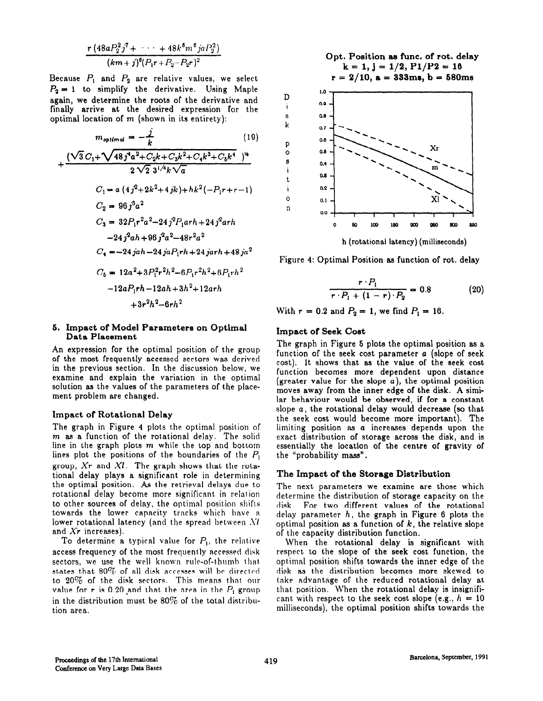$$
\frac{r \left(48 a P_2^2 \, j^7 + \cdots + 48 k^6 m^6 j a P_2^2\right)}{(km+j)^6 (P_1 r + P_2 - P_2 r)^2}
$$

Because  $P_1$  and  $P_2$  are relative values, we select  $P_2 = 1$  to simplify the derivative. Using Maple again, we determine the roots of the derivative and finally arrive at the desired expression for the optimal location of  $m$  (shown in its entirety):

$$
m_{optimal} = -\frac{1}{k}
$$
(19)  
+ 
$$
\frac{(\sqrt{3}C_1 + \sqrt{48j^4a^2 + C_2k + C_3k^2 + C_4k^3 + C_5k^4})^{14}}{2\sqrt{2}3^{1/4}k\sqrt{a}}
$$
  

$$
C_1 = a(4j^2 + 2k^2 + 4jk) + hk^2(-P_1r + r - 1)
$$
  

$$
C_2 = 96j^3a^2
$$
  

$$
C_3 = 32P_1r^2a^2 - 24j^2P_1arh + 24j^2arh
$$
  

$$
-24j^2ah + 96j^2a^2 - 48r^2a^2
$$
  

$$
C_4 = -24jah - 24jaP_1rh + 24jarh + 48ja^2
$$
  

$$
C_5 = 12a^2 + 3P_1^2r^2h^2 - 6P_1r^2h^2 + 6P_1rh^2
$$
  

$$
-12aP_1rh - 12ah + 3h^2 + 12arh
$$
  

$$
+3r^2h^2 - 6rh^2
$$

## 6. Impact of Model Parameters on Optimal Data Placement

An expression for the optimal position of the group of the most frequently accessed sectors was derived in the previous section. In the discussion below, we examine and explain the variation in the optimal solution as the values of the parameters of the placement problem are changed.

#### Impact of Rotational Delay

The graph in Figure 4 plots the optimal position of  $m$  as a function of the rotational delay. The solid line in the graph plots  $m$  while the top and bottom lines plot the positions of the boundaries of the  $P_1$ group,  $Xr$  and  $Xl$ . The graph shows that the rotational delay plays a significant, role in determining the optimal position. As the retrieval delays due to rotational delay become more significant in relation to other sources of delay, the optimal position shifts towards the lower capacity tracks which have a lower rotational latency (and the spread between XI and Xr increases).

To determine a typical value for  $P_1$ , the relative When the rotational delay is significant with access frequency of the most frequently accessed disk respect to the slope of the seek cost function, the access frequency of the most frequently accessed disk respect to the slope of the seek cost function, the sectors, we use the well known rule-of-thumb that optimal position shifts towards the inner edge of the states that 80% of all disk accesses will be directed disk as the distribution becomes more skewed to 20% of the disk sectors. This means that our take advantage of the reduced rotational delay at to 20% of the disk sectors. This means that our take advantage of the reduced rotational delay at value for r is 0.20 and that the area in the  $P_1$  group that position. When the rotational delay is insignifivalue for r is 0.20 and that the area in the  $P_1$  group that position. When the rotational delay is insignifi-<br>in the distribution must be 80% of the total distribu- cant with respect to the seek cost slope (e.g.,  $h = 10$ in the distribution must be  $80\%$  of the total distribution area. milliseconds), the optimal position shifts towards the



Figure 4: Optimal Position as function of rot. delay

$$
\frac{r \cdot P_1}{r \cdot P_1 + (1 - r) \cdot P_2} = 0.8 \tag{20}
$$

With  $r = 0.2$  and  $P_2 = 1$ , we find  $P_1 = 16$ .

#### Impact of Seek Cost

The graph in Figure 5 plots the optimal position as a function of the seek cost parameter a (slope of seek cost), It shows that as the value of the seek cost function becomes more dependent upon distance (greater value for the slope a), the optimal position moves away from the inner edge of the disk. A similar behaviour would be observed, if for a constant slope a, the rotational delay would decrease (so that the seek cost would become more important). The limiting position as a increases depends upon the exact distribution of storage across the disk, and is essentially the location of the centre of gravity of the "probability mass".

#### The Impact of the Storage Distribution

The next parameters we examine are those which determine the distribution of storage capacity on the disk. For two different values of the rotational delay parameter  $h$ , the graph in Figure 6 plots the optimal position as a function of  $k$ , the relative slope of the capacity distribution function.

optimal position shifts towards the inner edge of the disk as the distribution becomes more skewed to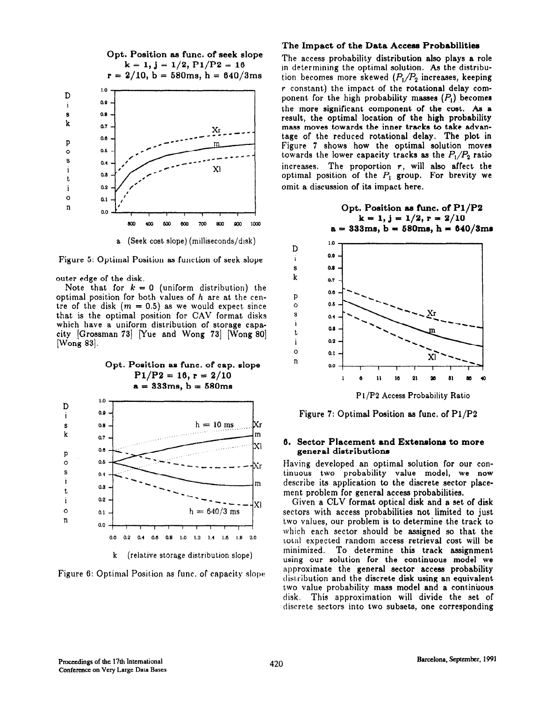

Figure 5: Optimal Position as function of seek slope

outer edge of the disk.

Note that for  $k = 0$  (uniform distribution) the optimal position for both values of h are at the centre of the disk  $(m = 0.5)$  as we would expect since that is the optimal position for CAV format disks which have a uniform distribution of storage capacity  $[Grossman 73]$  Yue and Wong 73 [Wong 80] [Wong 83].





#### The Impact of the Data Access Probabilities

The access probability distribution also plays a role in determining the optimal solution. As the distribution becomes more skewed  $(P_1/P_2)$  increases, keeping r constant) the impact of the rotational delay component for the high probability masses  $(P<sub>1</sub>)$  becomes the more significant component of the cost. Aa a result, the optimal location of the high probability maas moves towards the inner tracks to take advantage of the reduced rotational delay. The plot in Figure 7 shows how the optimal solution moves towards the lower capacity tracks as the  $P_1/P_2$  ratio increases. The proportion  $r$ , will also affect the optimal position of the  $P_1$  group. For brevity we omit a discussion of its impact here.

Opt. Position se func. of Pl/P2 k = 1, j = l/2, r = 2/10 a = 333me, b = S80ma, h = 640/3mr



Figure 7: Optimal Position as func. of Pl/P2

#### 6, Sector Placement and Extensiona to more general distributions

Having developed an optimal solution for our continuous two probability value model, we now describe its application to the discrete sector placement problem for general access probabilities.

Given a CLV format optical disk and a set of disk sectors with access probabilities not limited to just two values, our problem is to determine the track to which each sector should be assigned so that the total expected random access retrieval cost will be minimized. To determine this track assignment using our solution for the continuous model we approximate the general sector access probability distribution and the discrete disk using an equivalent two value probability mass model and a continuous disk, This approximation will divide the set of discrete sectors into two subsets, one corresponding

D i

E

 $\mathbf{s}$ 

P  $\circ$ S

t

i

ì

0 n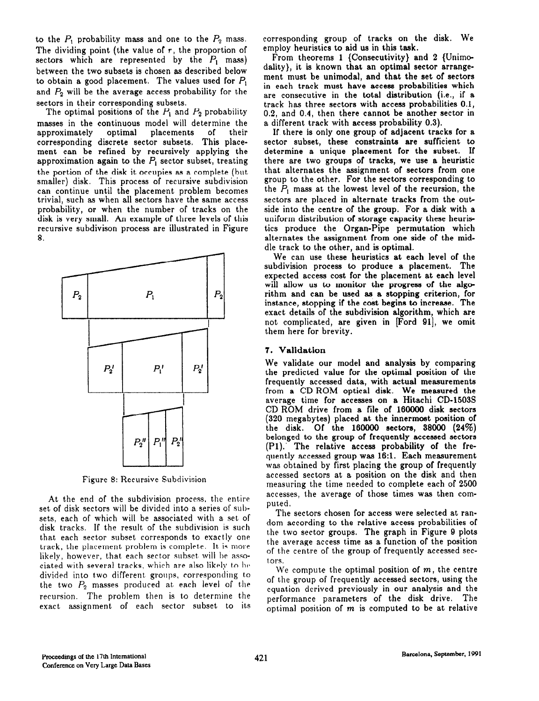to the  $P_1$  probability mass and one to the  $P_2$  mass. The dividing point (the value of  $r$ , the proportion of sectors which are represented by the  $P_1$  mass) between the two subsets is chosen as described below to obtain a good placement. The values used for  $P_1$ and  $P_2$  will be the average access probability for the sectors in their corresponding subsets.

The optimal positions of the  $P_1$  and  $P_2$  probability masses in the continuous model will determine the approximately optimal placements of their corresponding discrete sector subsets. This placement can be refined by recursively applying the approximation again to the  $P_1$  sector subset, treating the portion of the disk it occupies as a complete (but smaller) disk. This process of recursive subdivision can continue until the placement problem becomes trivial, such as when all sectors have the same access probability, or when the number of tracks on the disk is very small. An example of three levels of this recursive subdivison process are illustrated in Figure 8.



Figure 8: Recursive Subdivision

At the end of the subdivision process, the entire set of disk sectors will be divided into a series of subsets, each of which will be associated with a. set of disk tracks. If the result of the subdivision is such that each sector subset corresponds to exactly one track, the placement problem is complete. It is more likely, however, that each sector subset will be associated with several tracks, which are also likely to be divided into two different groups, corresponding to the two  $P_2$  masses produced at each level of the recursion. The problem then is to determine the exact assignment of each sector subset to its corresponding group of tracks on the disk. We employ heuristics to aid us in this task.

From theorems 1 {Consecutivity} and 2 {Unimodality}, it is known that an optimal sector arrangement must be unimodal, and that the set of sectors in each track must have access probabilities which are consecutive in the total distribution (i.e., if a track has three sectors with access probabilities 0.1, 0.2, and 0.4, then there cannot be another sector in a different track with access probability 0.3).

If there is only one group of adjacent tracks for a sector subset, these constraints are sufficient to determine a unique placement for the subset. If there are two groups of tracks, we use a heuristic that alternates the assignment of sectors from one group to the other. For the sectors corresponding to the  $P_1$  mass at the lowest level of the recursion, the sectors are placed in alternate tracks from the out side into the centre of the group. For a disk with a uniform distribution of storage capacity these heuristics produce the Organ-Pipe permutation which alternates the assignment from one side of the middle track to the other, and is optimal.

We can use these heuristics at each level of the subdivision process to produce a placement. The expected access cost for the placement at each level will allow us to monitor the progress of the algorithm and can be used as a stopping criterion, for instance, stopping if the cost begins to increase. The exact details of the subdivision algorithm, which are not complicated, are given in [Ford 91], we omit them here for brevity.

#### 7. Validation

We validate our model and analysis by comparing the predicted value for the optimal position of the frequently accessed data, with actual measurements from a CD ROM optical disk. We measured the average time for accesses on a Hitachi CD-1503s CD ROM drive from a file of 160000 disk sectors (320 megabytes) placed at the innermost position of . Of the 160000 sectors, 38000 (24%) belonged to the group of frequently accessed sectors (Pl).' The relative access probability of the frequently accessed group was 16:l. Each measurement was obtained by first placing the group of frequently accessed sectors at a position on the disk and then measuring the time needed to complete each of 2500 accesses, the average of those times was then computed.

The sectors chosen for access were selected at random according to the relative access probabilities of the two sector groups. The graph in Figure 9 plots the average access time as a function of the position of the centre of the group of frequently accessed sectors.

We compute the optimal position of  $m$ , the centre of the group of frequently accessed sectors, using the equation derived previously in our analysis and the performance parameters of the disk drive. The optimal position of  $m$  is computed to be at relative